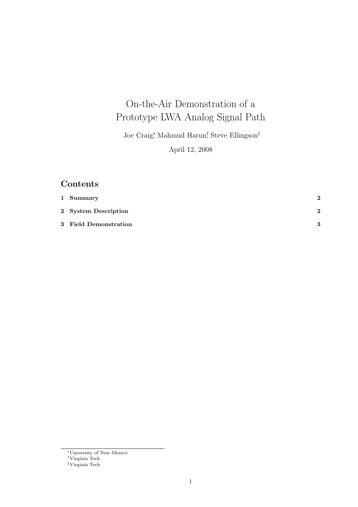# On-the-Air Demonstration of a Prototype LWA Analog Signal Path

Joe Craig<sup>∗</sup> , Mahmud Harun† , Steve Ellingson‡ April 12, 2008

## Contents

| 1 Summary             | $\mathbf{2}$  |
|-----------------------|---------------|
| 2 System Description  | $\mathcal{D}$ |
| 3 Field Demonstration | 3             |

<sup>∗</sup>University of New Mexico

<sup>†</sup>Virginia Tech

<sup>‡</sup>Virginia Tech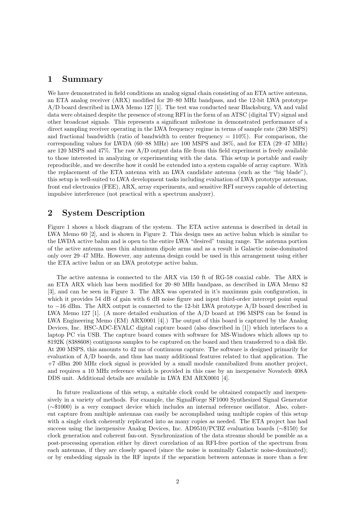#### 1 Summary

We have demonstrated in field conditions an analog signal chain consisting of an ETA active antenna, an ETA analog receiver (ARX) modified for 20–80 MHz bandpass, and the 12-bit LWA prototype A/D board described in LWA Memo 127 [1]. The test was conducted near Blacksburg, VA and valid data were obtained despite the presence of strong RFI in the form of an ATSC (digital TV) signal and other broadcast signals. This represents a significant milestone in demonstrated performance of a direct sampling receiver operating in the LWA frequency regime in terms of sample rate (200 MSPS) and fractional bandwidth (ratio of bandwidth to center frequency  $= 110\%$ ). For comparison, the corresponding values for LWDA (60–88 MHz) are 100 MSPS and 38%, and for ETA (29–47 MHz) are 120 MSPS and 47%. The raw A/D output data file from this field experiment is freely available to those interested in analyzing or experimenting with the data. This setup is portable and easily reproducible, and we describe how it could be extended into a system capable of array capture. With the replacement of the ETA antenna with an LWA candidate antenna (such as the "big blade"), this setup is well-suited to LWA development tasks including evaluation of LWA prototype antennas, front end electronics (FEE), ARX, array experiments, and sensitive RFI surveys capable of detecting impulsive interference (not practical with a spectrum analyzer).

#### 2 System Description

Figure 1 shows a block diagram of the system. The ETA active antenna is described in detail in LWA Memo 60 [2], and is shown in Figure 2. This design uses an active balun which is similar to the LWDA active balun and is open to the entire LWA "desired" tuning range. The antenna portion of the active antenna uses thin aluminum dipole arms and as a result is Galactic noise-dominated only over 29–47 MHz. However, any antenna design could be used in this arrangement using either the ETA active balun or an LWA prototype active balun.

The active antenna is connected to the ARX via 150 ft of RG-58 coaxial cable. The ARX is an ETA ARX which has been modified for 20–80 MHz bandpass, as described in LWA Memo 82 [3], and can be seen in Figure 3. The ARX was operated in it's maximum gain configuration, in which it provides 54 dB of gain with 6 dB noise figure and input third-order intercept point equal to −16 dBm. The ARX output is connected to the 12-bit LWA prototype A/D board described in LWA Memo 127 [1]. (A more detailed evaluation of the A/D board at 196 MSPS can be found in LWA Engineering Memo (EM) ARX0001 [4].) The output of this board is captured by the Analog Devices, Inc. HSC-ADC-EVALC digital capture board (also described in [1]) which interfaces to a laptop PC via USB. The capture board comes with software for MS-Windows which allows up to 8192K (8388608) contiguous samples to be captured on the board and then transferred to a disk file. At 200 MSPS, this amounts to 42 ms of continuous capture. The software is designed primarily for evaluation of A/D boards, and thus has many additional features related to that application. The +7 dBm 200 MHz clock signal is provided by a small module cannibalized from another project, and requires a 10 MHz reference which is provided in this case by an inexpensive Novatech 408A DDS unit. Additional details are available in LWA EM ARX0001 [4].

In future realizations of this setup, a suitable clock could be obtained compactly and inexpensively in a variety of methods. For example, the SignalForge SF1000 Synthesized Signal Generator (∼\$1000) is a very compact device which includes an internal reference oscillator. Also, coherent capture from multiple antennas can easily be accomplished using multiple copies of this setup with a single clock coherently replicated into as many copies as needed. The ETA project has had success using the inexpensive Analog Devices, Inc. AD9510/PCBZ evaluation boards (∼\$150) for clock generation and coherent fan-out. Synchronization of the data streams should be possible as a post-processing operation either by direct correlation of an RFI-free portion of the spectrum from each antennas, if they are closely spaced (since the noise is nominally Galactic noise-dominated); or by embedding signals in the RF inputs if the separation between antennas is more than a few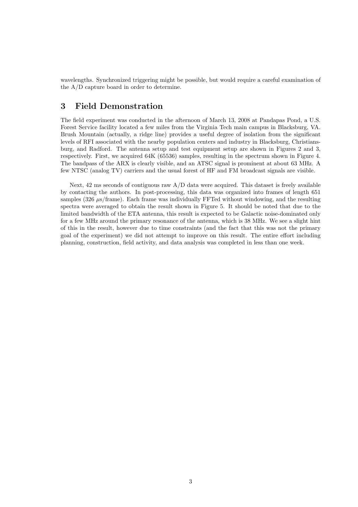wavelengths. Synchronized triggering might be possible, but would require a careful examination of the A/D capture board in order to determine.

#### 3 Field Demonstration

The field experiment was conducted in the afternoon of March 13, 2008 at Pandapas Pond, a U.S. Forest Service facility located a few miles from the Virginia Tech main campus in Blacksburg, VA. Brush Mountain (actually, a ridge line) provides a useful degree of isolation from the significant levels of RFI associated with the nearby population centers and industry in Blacksburg, Christiansburg, and Radford. The antenna setup and test equipment setup are shown in Figures 2 and 3, respectively. First, we acquired 64K (65536) samples, resulting in the spectrum shown in Figure 4. The bandpass of the ARX is clearly visible, and an ATSC signal is prominent at about 63 MHz. A few NTSC (analog TV) carriers and the usual forest of HF and FM broadcast signals are visible.

Next,  $42 \text{ ms seconds of contiguous raw A/D data were acquired. This dataset is freely available.}$ by contacting the authors. In post-processing, this data was organized into frames of length 651 samples (326  $\mu s$ /frame). Each frame was individually FFTed without windowing, and the resulting spectra were averaged to obtain the result shown in Figure 5. It should be noted that due to the limited bandwidth of the ETA antenna, this result is expected to be Galactic noise-dominated only for a few MHz around the primary resonance of the antenna, which is 38 MHz. We see a slight hint of this in the result, however due to time constraints (and the fact that this was not the primary goal of the experiment) we did not attempt to improve on this result. The entire effort including planning, construction, field activity, and data analysis was completed in less than one week.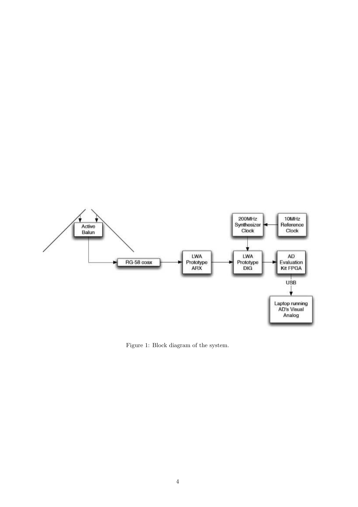

Figure 1: Block diagram of the system.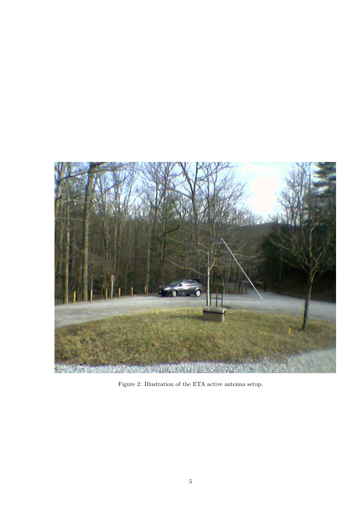

Figure 2: Illustration of the ETA active antenna setup.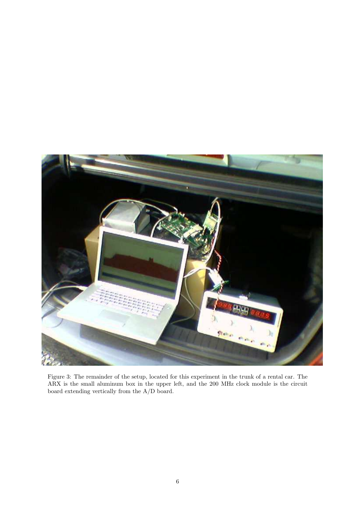

Figure 3: The remainder of the setup, located for this experiment in the trunk of a rental car. The ARX is the small aluminum box in the upper left, and the 200 MHz clock module is the circuit board extending vertically from the A/D board.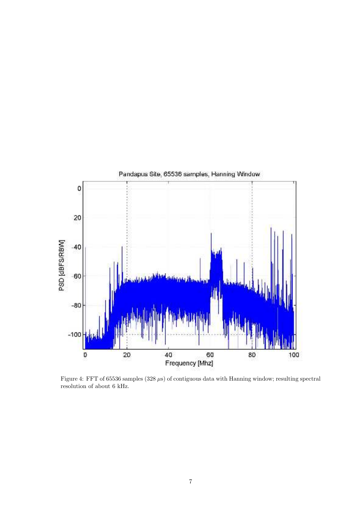

Figure 4: FFT of 65536 samples (328  $\mu$ s) of contiguous data with Hanning window; resulting spectral resolution of about 6 kHz.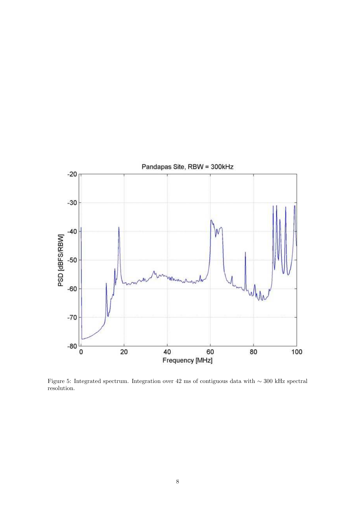

Figure 5: Integrated spectrum. Integration over 42 ms of contiguous data with ∼ 300 kHz spectral resolution.